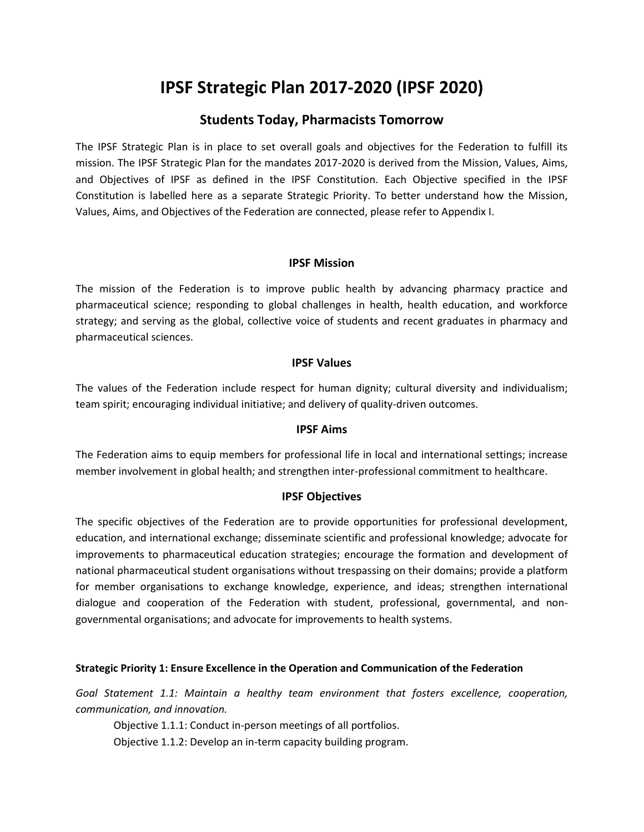# **IPSF Strategic Plan 2017-2020 (IPSF 2020)**

## **Students Today, Pharmacists Tomorrow**

The IPSF Strategic Plan is in place to set overall goals and objectives for the Federation to fulfill its mission. The IPSF Strategic Plan for the mandates 2017-2020 is derived from the Mission, Values, Aims, and Objectives of IPSF as defined in the IPSF Constitution. Each Objective specified in the IPSF Constitution is labelled here as a separate Strategic Priority. To better understand how the Mission, Values, Aims, and Objectives of the Federation are connected, please refer to Appendix I.

## **IPSF Mission**

The mission of the Federation is to improve public health by advancing pharmacy practice and pharmaceutical science; responding to global challenges in health, health education, and workforce strategy; and serving as the global, collective voice of students and recent graduates in pharmacy and pharmaceutical sciences.

### **IPSF Values**

The values of the Federation include respect for human dignity; cultural diversity and individualism; team spirit; encouraging individual initiative; and delivery of quality-driven outcomes.

### **IPSF Aims**

The Federation aims to equip members for professional life in local and international settings; increase member involvement in global health; and strengthen inter-professional commitment to healthcare.

## **IPSF Objectives**

The specific objectives of the Federation are to provide opportunities for professional development, education, and international exchange; disseminate scientific and professional knowledge; advocate for improvements to pharmaceutical education strategies; encourage the formation and development of national pharmaceutical student organisations without trespassing on their domains; provide a platform for member organisations to exchange knowledge, experience, and ideas; strengthen international dialogue and cooperation of the Federation with student, professional, governmental, and nongovernmental organisations; and advocate for improvements to health systems.

### **Strategic Priority 1: Ensure Excellence in the Operation and Communication of the Federation**

*Goal Statement 1.1: Maintain a healthy team environment that fosters excellence, cooperation, communication, and innovation.* 

Objective 1.1.1: Conduct in-person meetings of all portfolios.

Objective 1.1.2: Develop an in-term capacity building program.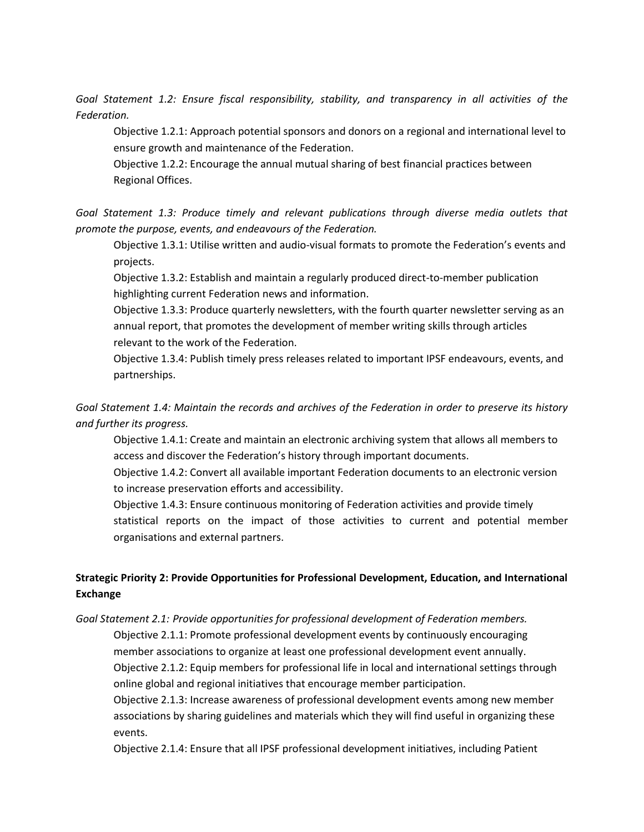*Goal Statement 1.2: Ensure fiscal responsibility, stability, and transparency in all activities of the Federation.*

Objective 1.2.1: Approach potential sponsors and donors on a regional and international level to ensure growth and maintenance of the Federation.

Objective 1.2.2: Encourage the annual mutual sharing of best financial practices between Regional Offices.

*Goal Statement 1.3: Produce timely and relevant publications through diverse media outlets that promote the purpose, events, and endeavours of the Federation.* 

Objective 1.3.1: Utilise written and audio-visual formats to promote the Federation's events and projects.

Objective 1.3.2: Establish and maintain a regularly produced direct-to-member publication highlighting current Federation news and information.

Objective 1.3.3: Produce quarterly newsletters, with the fourth quarter newsletter serving as an annual report, that promotes the development of member writing skills through articles relevant to the work of the Federation.

Objective 1.3.4: Publish timely press releases related to important IPSF endeavours, events, and partnerships.

*Goal Statement 1.4: Maintain the records and archives of the Federation in order to preserve its history and further its progress.* 

Objective 1.4.1: Create and maintain an electronic archiving system that allows all members to access and discover the Federation's history through important documents.

Objective 1.4.2: Convert all available important Federation documents to an electronic version to increase preservation efforts and accessibility.

Objective 1.4.3: Ensure continuous monitoring of Federation activities and provide timely statistical reports on the impact of those activities to current and potential member organisations and external partners.

## **Strategic Priority 2: Provide Opportunities for Professional Development, Education, and International Exchange**

*Goal Statement 2.1: Provide opportunities for professional development of Federation members.* 

Objective 2.1.1: Promote professional development events by continuously encouraging member associations to organize at least one professional development event annually.

Objective 2.1.2: Equip members for professional life in local and international settings through online global and regional initiatives that encourage member participation.

Objective 2.1.3: Increase awareness of professional development events among new member associations by sharing guidelines and materials which they will find useful in organizing these events.

Objective 2.1.4: Ensure that all IPSF professional development initiatives, including Patient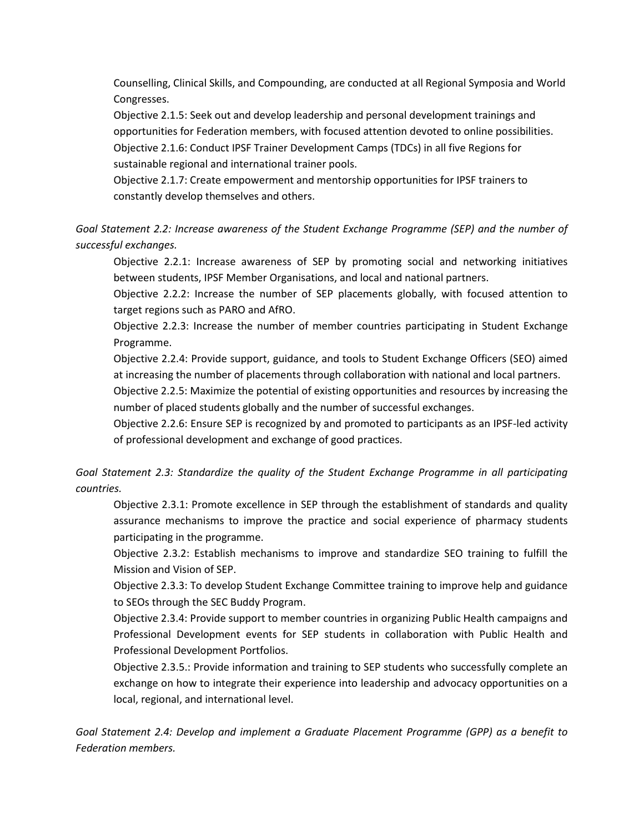Counselling, Clinical Skills, and Compounding, are conducted at all Regional Symposia and World Congresses.

Objective 2.1.5: Seek out and develop leadership and personal development trainings and opportunities for Federation members, with focused attention devoted to online possibilities. Objective 2.1.6: Conduct IPSF Trainer Development Camps (TDCs) in all five Regions for sustainable regional and international trainer pools.

Objective 2.1.7: Create empowerment and mentorship opportunities for IPSF trainers to constantly develop themselves and others.

*Goal Statement 2.2: Increase awareness of the Student Exchange Programme (SEP) and the number of successful exchanges.*

Objective 2.2.1: Increase awareness of SEP by promoting social and networking initiatives between students, IPSF Member Organisations, and local and national partners.

Objective 2.2.2: Increase the number of SEP placements globally, with focused attention to target regions such as PARO and AfRO.

Objective 2.2.3: Increase the number of member countries participating in Student Exchange Programme.

Objective 2.2.4: Provide support, guidance, and tools to Student Exchange Officers (SEO) aimed at increasing the number of placements through collaboration with national and local partners.

Objective 2.2.5: Maximize the potential of existing opportunities and resources by increasing the number of placed students globally and the number of successful exchanges.

Objective 2.2.6: Ensure SEP is recognized by and promoted to participants as an IPSF-led activity of professional development and exchange of good practices.

*Goal Statement 2.3: Standardize the quality of the Student Exchange Programme in all participating countries.*

Objective 2.3.1: Promote excellence in SEP through the establishment of standards and quality assurance mechanisms to improve the practice and social experience of pharmacy students participating in the programme.

Objective 2.3.2: Establish mechanisms to improve and standardize SEO training to fulfill the Mission and Vision of SEP.

Objective 2.3.3: To develop Student Exchange Committee training to improve help and guidance to SEOs through the SEC Buddy Program.

Objective 2.3.4: Provide support to member countries in organizing Public Health campaigns and Professional Development events for SEP students in collaboration with Public Health and Professional Development Portfolios.

Objective 2.3.5.: Provide information and training to SEP students who successfully complete an exchange on how to integrate their experience into leadership and advocacy opportunities on a local, regional, and international level.

*Goal Statement 2.4: Develop and implement a Graduate Placement Programme (GPP) as a benefit to Federation members.*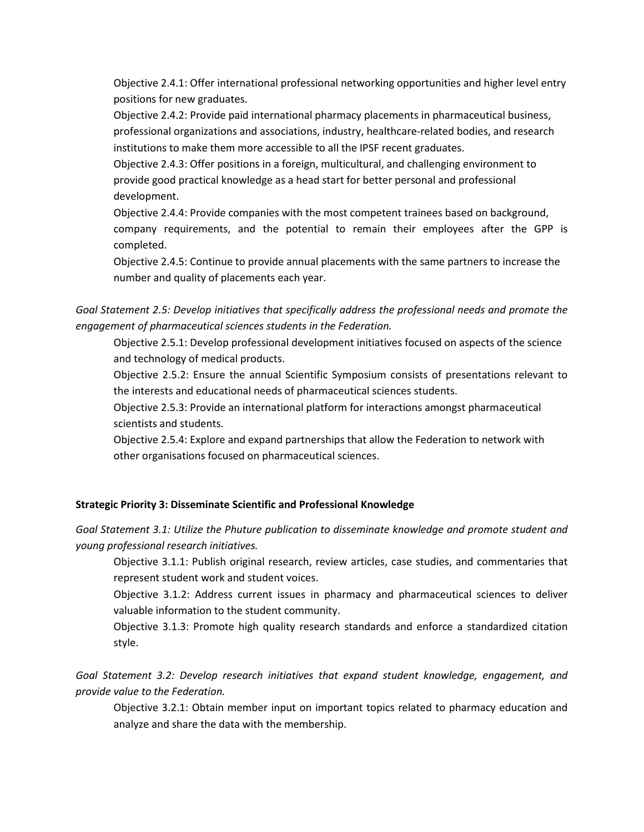Objective 2.4.1: Offer international professional networking opportunities and higher level entry positions for new graduates.

Objective 2.4.2: Provide paid international pharmacy placements in pharmaceutical business, professional organizations and associations, industry, healthcare-related bodies, and research institutions to make them more accessible to all the IPSF recent graduates.

Objective 2.4.3: Offer positions in a foreign, multicultural, and challenging environment to provide good practical knowledge as a head start for better personal and professional development.

Objective 2.4.4: Provide companies with the most competent trainees based on background, company requirements, and the potential to remain their employees after the GPP is completed.

Objective 2.4.5: Continue to provide annual placements with the same partners to increase the number and quality of placements each year.

*Goal Statement 2.5: Develop initiatives that specifically address the professional needs and promote the engagement of pharmaceutical sciences students in the Federation.* 

Objective 2.5.1: Develop professional development initiatives focused on aspects of the science and technology of medical products.

Objective 2.5.2: Ensure the annual Scientific Symposium consists of presentations relevant to the interests and educational needs of pharmaceutical sciences students.

Objective 2.5.3: Provide an international platform for interactions amongst pharmaceutical scientists and students.

Objective 2.5.4: Explore and expand partnerships that allow the Federation to network with other organisations focused on pharmaceutical sciences.

### **Strategic Priority 3: Disseminate Scientific and Professional Knowledge**

*Goal Statement 3.1: Utilize the Phuture publication to disseminate knowledge and promote student and young professional research initiatives.*

Objective 3.1.1: Publish original research, review articles, case studies, and commentaries that represent student work and student voices.

Objective 3.1.2: Address current issues in pharmacy and pharmaceutical sciences to deliver valuable information to the student community.

Objective 3.1.3: Promote high quality research standards and enforce a standardized citation style.

*Goal Statement 3.2: Develop research initiatives that expand student knowledge, engagement, and provide value to the Federation.*

Objective 3.2.1: Obtain member input on important topics related to pharmacy education and analyze and share the data with the membership.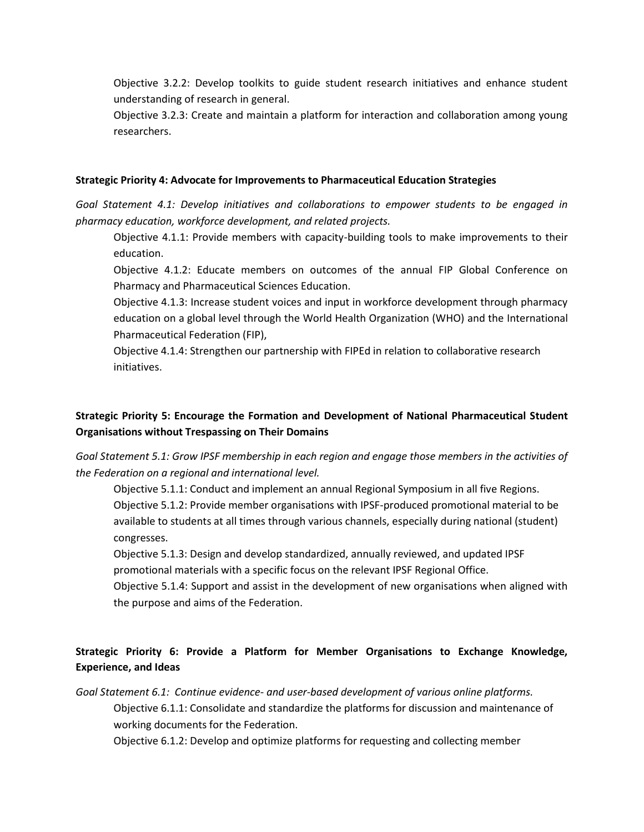Objective 3.2.2: Develop toolkits to guide student research initiatives and enhance student understanding of research in general.

Objective 3.2.3: Create and maintain a platform for interaction and collaboration among young researchers.

#### **Strategic Priority 4: Advocate for Improvements to Pharmaceutical Education Strategies**

*Goal Statement 4.1: Develop initiatives and collaborations to empower students to be engaged in pharmacy education, workforce development, and related projects.*

Objective 4.1.1: Provide members with capacity-building tools to make improvements to their education.

Objective 4.1.2: Educate members on outcomes of the annual FIP Global Conference on Pharmacy and Pharmaceutical Sciences Education.

Objective 4.1.3: Increase student voices and input in workforce development through pharmacy education on a global level through the World Health Organization (WHO) and the International Pharmaceutical Federation (FIP),

Objective 4.1.4: Strengthen our partnership with FIPEd in relation to collaborative research initiatives.

## **Strategic Priority 5: Encourage the Formation and Development of National Pharmaceutical Student Organisations without Trespassing on Their Domains**

*Goal Statement 5.1: Grow IPSF membership in each region and engage those members in the activities of the Federation on a regional and international level.*

Objective 5.1.1: Conduct and implement an annual Regional Symposium in all five Regions. Objective 5.1.2: Provide member organisations with IPSF-produced promotional material to be available to students at all times through various channels, especially during national (student) congresses.

Objective 5.1.3: Design and develop standardized, annually reviewed, and updated IPSF promotional materials with a specific focus on the relevant IPSF Regional Office.

Objective 5.1.4: Support and assist in the development of new organisations when aligned with the purpose and aims of the Federation.

## **Strategic Priority 6: Provide a Platform for Member Organisations to Exchange Knowledge, Experience, and Ideas**

*Goal Statement 6.1: Continue evidence- and user-based development of various online platforms.* Objective 6.1.1: Consolidate and standardize the platforms for discussion and maintenance of working documents for the Federation.

Objective 6.1.2: Develop and optimize platforms for requesting and collecting member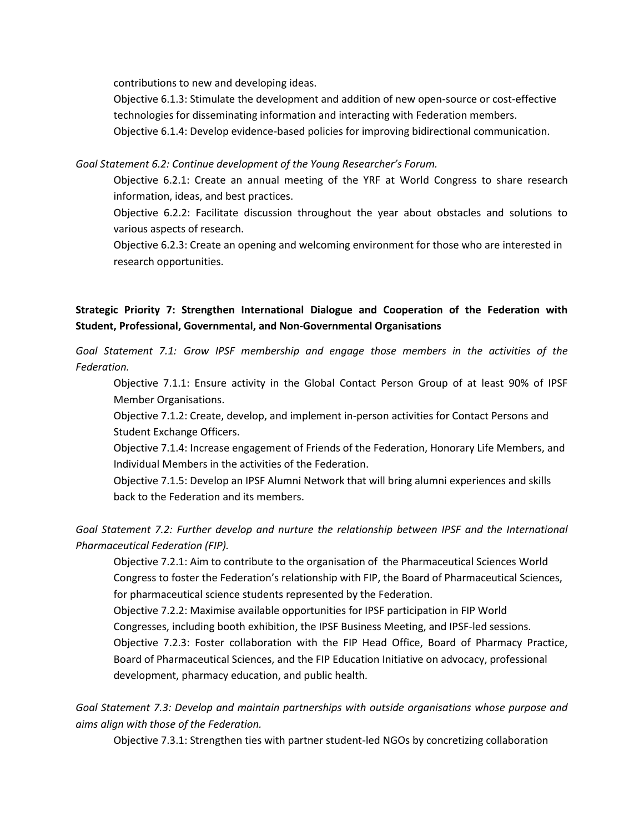contributions to new and developing ideas.

Objective 6.1.3: Stimulate the development and addition of new open-source or cost-effective technologies for disseminating information and interacting with Federation members.

Objective 6.1.4: Develop evidence-based policies for improving bidirectional communication.

*Goal Statement 6.2: Continue development of the Young Researcher's Forum.*

Objective 6.2.1: Create an annual meeting of the YRF at World Congress to share research information, ideas, and best practices.

Objective 6.2.2: Facilitate discussion throughout the year about obstacles and solutions to various aspects of research.

Objective 6.2.3: Create an opening and welcoming environment for those who are interested in research opportunities.

**Strategic Priority 7: Strengthen International Dialogue and Cooperation of the Federation with Student, Professional, Governmental, and Non-Governmental Organisations**

*Goal Statement 7.1: Grow IPSF membership and engage those members in the activities of the Federation.* 

Objective 7.1.1: Ensure activity in the Global Contact Person Group of at least 90% of IPSF Member Organisations.

Objective 7.1.2: Create, develop, and implement in-person activities for Contact Persons and Student Exchange Officers.

Objective 7.1.4: Increase engagement of Friends of the Federation, Honorary Life Members, and Individual Members in the activities of the Federation.

Objective 7.1.5: Develop an IPSF Alumni Network that will bring alumni experiences and skills back to the Federation and its members.

*Goal Statement 7.2: Further develop and nurture the relationship between IPSF and the International Pharmaceutical Federation (FIP).* 

Objective 7.2.1: Aim to contribute to the organisation of the Pharmaceutical Sciences World Congress to foster the Federation's relationship with FIP, the Board of Pharmaceutical Sciences, for pharmaceutical science students represented by the Federation.

Objective 7.2.2: Maximise available opportunities for IPSF participation in FIP World Congresses, including booth exhibition, the IPSF Business Meeting, and IPSF-led sessions. Objective 7.2.3: Foster collaboration with the FIP Head Office, Board of Pharmacy Practice, Board of Pharmaceutical Sciences, and the FIP Education Initiative on advocacy, professional development, pharmacy education, and public health.

*Goal Statement 7.3: Develop and maintain partnerships with outside organisations whose purpose and aims align with those of the Federation.* 

Objective 7.3.1: Strengthen ties with partner student-led NGOs by concretizing collaboration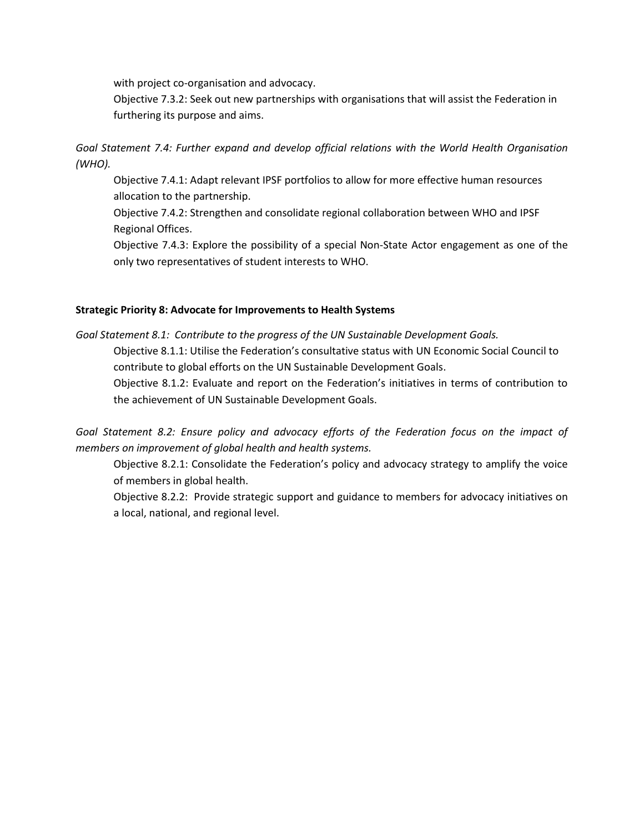with project co-organisation and advocacy.

Objective 7.3.2: Seek out new partnerships with organisations that will assist the Federation in furthering its purpose and aims.

*Goal Statement 7.4: Further expand and develop official relations with the World Health Organisation (WHO).* 

Objective 7.4.1: Adapt relevant IPSF portfolios to allow for more effective human resources allocation to the partnership.

Objective 7.4.2: Strengthen and consolidate regional collaboration between WHO and IPSF Regional Offices.

Objective 7.4.3: Explore the possibility of a special Non-State Actor engagement as one of the only two representatives of student interests to WHO.

### **Strategic Priority 8: Advocate for Improvements to Health Systems**

*Goal Statement 8.1: Contribute to the progress of the UN Sustainable Development Goals.* Objective 8.1.1: Utilise the Federation's consultative status with UN Economic Social Council to contribute to global efforts on the UN Sustainable Development Goals. Objective 8.1.2: Evaluate and report on the Federation's initiatives in terms of contribution to the achievement of UN Sustainable Development Goals.

*Goal Statement 8.2: Ensure policy and advocacy efforts of the Federation focus on the impact of members on improvement of global health and health systems.*

Objective 8.2.1: Consolidate the Federation's policy and advocacy strategy to amplify the voice of members in global health.

Objective 8.2.2: Provide strategic support and guidance to members for advocacy initiatives on a local, national, and regional level.